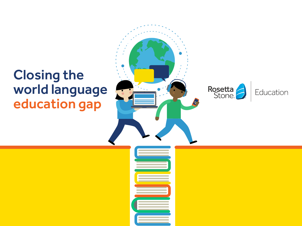# Closing the world language education gap

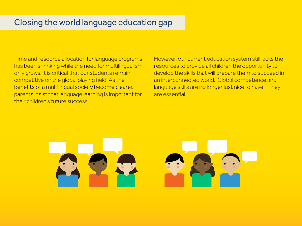# Closing the world language education gap

Time and resource allocation for language programs has been shrinking while the need for multilingualism only grows. It is critical that our students remain competitive on the global playing field. As the benefits of a multilingual society become clearer, parents insist that language learning is important for their children's future success.

However, our current education system still lacks the resources to provide all children the opportunity to develop the skills that will prepare them to succeed in an interconnected world. Global competence and language skills are no longer just nice to have—they are essential.

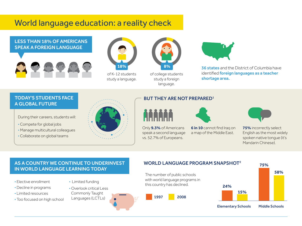# World language education: a reality check





of K-12 students study a language.



of college students study a foreign language.

Only **9.3%** of Americans speak a second language vs. 52.7% of Europeans.

**ATTEND** 



**36 states** and the District of Columbia have identified **foreign languages as a teacher** shortage area.

### TODAY'S STUDENTS FACE A GLOBAL FUTURE

During their careers, students will:

- Compete for global jobs
- Manage multicultural colleagues
- Collaborate on global teams



### BUT THEY ARE NOT PREPARED<sup>1</sup>



**6 in 10** cannot find Iraq on a map of the Middle East.



**75%** incorrectly select English as the most widely spoken native tongue (it's Mandarin Chinese).

### AS A COUNTRY WE CONTINUE TO UNDERINVEST IN WORLD LANGUAGE LEARNING TODAY

#### • Elective enrollment

- Decline in programs
- Limited resources
- Too focused on high school
- Limited funding
- Overlook critical Less
- Commonly Taught
- Languages (LCTLs)





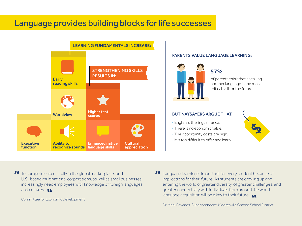# Language provides building blocks for life successes



#### PARENTS VALUE LANGUAGE LEARNING:



### 57%

another language is the most critical skill for the future.

#### BUT NAYSAYERS ARGUE THAT:

- English is the lingua franca.
- There is no economic value.
- The opportunity costs are high.
- It is too difficult to offer and learn.



 $\boldsymbol{\mathcal{H}}$ To compete successfully in the global marketplace, both U.S.-based multinational corporations, as well as small businesses, increasingly need employees with knowledge of foreign languages and cultures. **In** 

Committee for Economic Development

Language learning is important for every student because of implications for their future. As students are growing up and entering the world of greater diversity, of greater challenges, and greater connectivity with individuals from around the world, language acquisition will be a key to their future.

Dr. Mark Edwards, Superintendent, Mooresville Graded School District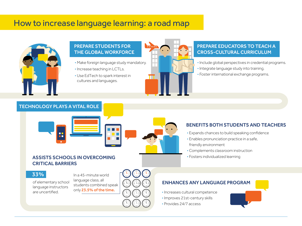## How to increase language learning: a road map



#### PREPARE STUDENTS FOR THE GLOBAL WORKFORCE

- Make foreign language study mandatory.
- Increase teaching in LCTLs.
- Use EdTech to spark interest in cultures and languages.



### PREPARE EDUCATORS TO TEACH A CROSS-CULTURAL CURRICULUM

- Include global perspectives in credential programs.
- Integrate language study into training.
- Foster international exchange programs.

### TECHNOLOGY PLAYS A VITAL ROLE





### BENEFITS BOTH STUDENTS AND TEACHERS

- Expands chances to build speaking confidence
- Enables pronunciation practice in a safe,
- friendly environment
- Complements classroom instruction
- Fosters individualized learning

### ASSISTS SCHOOLS IN OVERCOMING CRITICAL BARRIERS



of elementary school language instructors are uncertified.

In a 45-minute world language class, all students combined speak only 23.5% of the time.

### ENHANCES ANY LANGUAGE PROGRAM

- Increases cultural competence
- Improves 21st-century skills
- Provides 24/7 access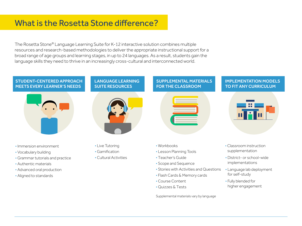# What is the Rosetta Stone difference?

The Rosetta Stone® Language Learning Suite for K-12 interactive solution combines multiple resources and research-based methodologies to deliver the appropriate instructional support for a broad range of age groups and learning stages, in up to 24 languages. As a result, students gain the language skills they need to thrive in an increasingly cross-cultural and interconnected world.

#### STUDENT-CENTERED APPROACH MEETS EVERY LEARNER'S NEEDS



- Immersion environment
- Vocabulary building
- Grammar tutorials and practice
- Authentic materials
- Advanced oral production
- Aligned to standards





- Live Tutoring
- Gamification
- Cultural Activities

#### SUPPLEMENTAL MATERIALS FOR THE CLASSROOM



- Workbooks
- Lesson Planning Tools
- Teacher's Guide
- Scope and Sequence
- Stories with Activities and Questions
- Flash Cards & Memory cards
- Course Content
- Quizzes & Tests

Supplemental materials vary by language

IMPLEMENTATION MODELS

TO FIT ANY CURRICULUM

- Classroom instruction supplementation
- District- or school-wide implementations
- Language lab deployment for self-study
- Fully blended for higher engagement